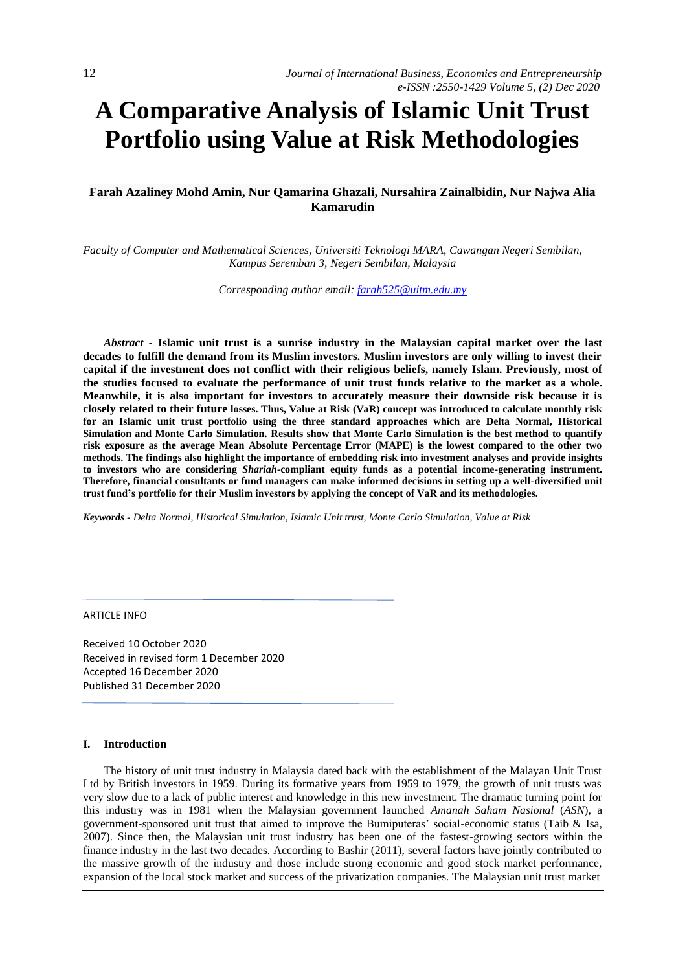# **A Comparative Analysis of Islamic Unit Trust Portfolio using Value at Risk Methodologies**

# **Farah Azaliney Mohd Amin, Nur Qamarina Ghazali, Nursahira Zainalbidin, Nur Najwa Alia Kamarudin**

*Faculty of Computer and Mathematical Sciences, Universiti Teknologi MARA, Cawangan Negeri Sembilan, Kampus Seremban 3, Negeri Sembilan, Malaysia*

*Corresponding author email: [farah525@uitm.edu.my](mailto:farah525@uitm.edu.my)*

*Abstract -* **Islamic unit trust is a sunrise industry in the Malaysian capital market over the last decades to fulfill the demand from its Muslim investors. Muslim investors are only willing to invest their capital if the investment does not conflict with their religious beliefs, namely Islam. Previously, most of the studies focused to evaluate the performance of unit trust funds relative to the market as a whole. Meanwhile, it is also important for investors to accurately measure their downside risk because it is closely related to their future losses. Thus, Value at Risk (VaR) concept was introduced to calculate monthly risk for an Islamic unit trust portfolio using the three standard approaches which are Delta Normal, Historical Simulation and Monte Carlo Simulation. Results show that Monte Carlo Simulation is the best method to quantify risk exposure as the average Mean Absolute Percentage Error (MAPE) is the lowest compared to the other two methods. The findings also highlight the importance of embedding risk into investment analyses and provide insights to investors who are considering** *Shariah***-compliant equity funds as a potential income-generating instrument. Therefore, financial consultants or fund managers can make informed decisions in setting up a well-diversified unit trust fund's portfolio for their Muslim investors by applying the concept of VaR and its methodologies.**

*Keywords - Delta Normal, Historical Simulation, Islamic Unit trust, Monte Carlo Simulation, Value at Risk*

## ARTICLE INFO

Received 10 October 2020 Received in revised form 1 December 2020 Accepted 16 December 2020 Published 31 December 2020

#### **I. Introduction**

The history of unit trust industry in Malaysia dated back with the establishment of the Malayan Unit Trust Ltd by British investors in 1959. During its formative years from 1959 to 1979, the growth of unit trusts was very slow due to a lack of public interest and knowledge in this new investment. The dramatic turning point for this industry was in 1981 when the Malaysian government launched *Amanah Saham Nasional* (*ASN*), a government-sponsored unit trust that aimed to improve the Bumiputeras' social-economic status (Taib & Isa, 2007). Since then, the Malaysian unit trust industry has been one of the fastest-growing sectors within the finance industry in the last two decades. According to Bashir (2011), several factors have jointly contributed to the massive growth of the industry and those include strong economic and good stock market performance, expansion of the local stock market and success of the privatization companies. The Malaysian unit trust market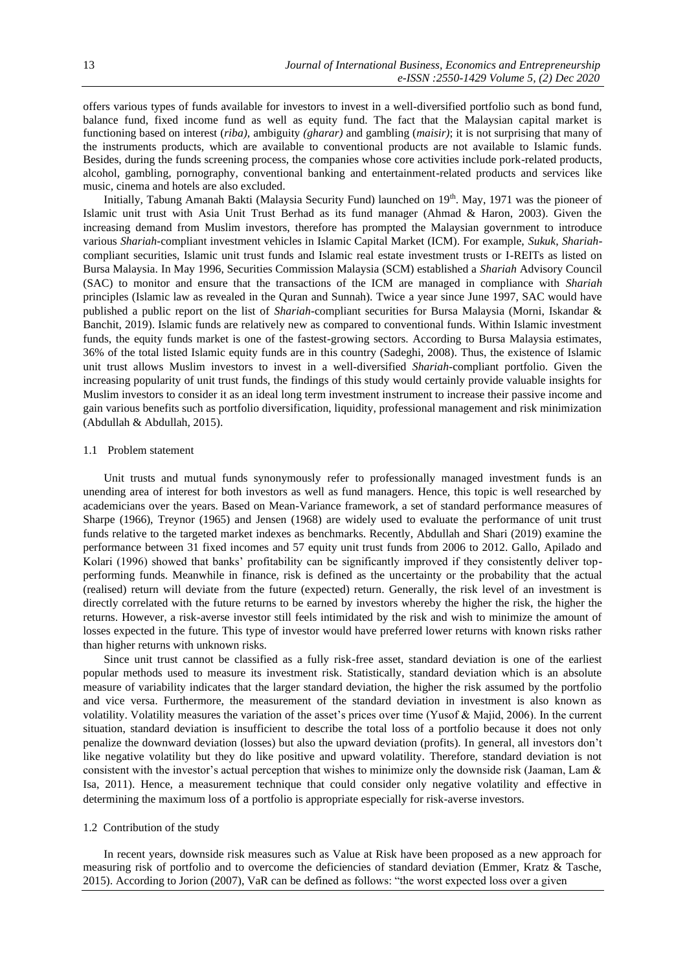offers various types of funds available for investors to invest in a well-diversified portfolio such as bond fund, balance fund, fixed income fund as well as equity fund. The fact that the Malaysian capital market is functioning based on interest (*riba),* ambiguity *(gharar)* and gambling (*maisir)*; it is not surprising that many of the instruments products, which are available to conventional products are not available to Islamic funds. Besides, during the funds screening process, the companies whose core activities include pork-related products, alcohol, gambling, pornography, conventional banking and entertainment-related products and services like music, cinema and hotels are also excluded.

Initially, Tabung Amanah Bakti (Malaysia Security Fund) launched on 19th. May, 1971 was the pioneer of Islamic unit trust with Asia Unit Trust Berhad as its fund manager (Ahmad & Haron, 2003). Given the increasing demand from Muslim investors, therefore has prompted the Malaysian government to introduce various *Shariah*-compliant investment vehicles in Islamic Capital Market (ICM). For example, *Sukuk*, *Shariah*compliant securities, Islamic unit trust funds and Islamic real estate investment trusts or I-REITs as listed on Bursa Malaysia. In May 1996, Securities Commission Malaysia (SCM) established a *Shariah* Advisory Council (SAC) to monitor and ensure that the transactions of the ICM are managed in compliance with *Shariah* principles (Islamic law as revealed in the Quran and Sunnah). Twice a year since June 1997, SAC would have published a public report on the list of *Shariah*-compliant securities for Bursa Malaysia (Morni, Iskandar & Banchit, 2019). Islamic funds are relatively new as compared to conventional funds. Within Islamic investment funds, the equity funds market is one of the fastest-growing sectors. According to Bursa Malaysia estimates, 36% of the total listed Islamic equity funds are in this country (Sadeghi, 2008). Thus, the existence of Islamic unit trust allows Muslim investors to invest in a well-diversified *Shariah*-compliant portfolio. Given the increasing popularity of unit trust funds, the findings of this study would certainly provide valuable insights for Muslim investors to consider it as an ideal long term investment instrument to increase their passive income and gain various benefits such as portfolio diversification, liquidity, professional management and risk minimization (Abdullah & Abdullah, 2015).

## 1.1 Problem statement

Unit trusts and mutual funds synonymously refer to professionally managed investment funds is an unending area of interest for both investors as well as fund managers. Hence, this topic is well researched by academicians over the years. Based on Mean-Variance framework, a set of standard performance measures of Sharpe (1966), Treynor (1965) and Jensen (1968) are widely used to evaluate the performance of unit trust funds relative to the targeted market indexes as benchmarks. Recently, Abdullah and Shari (2019) examine the performance between 31 fixed incomes and 57 equity unit trust funds from 2006 to 2012. Gallo, Apilado and Kolari (1996) showed that banks' profitability can be significantly improved if they consistently deliver topperforming funds. Meanwhile in finance, risk is defined as the uncertainty or the probability that the actual (realised) return will deviate from the future (expected) return. Generally, the risk level of an investment is directly correlated with the future returns to be earned by investors whereby the higher the risk, the higher the returns. However, a risk-averse investor still feels intimidated by the risk and wish to minimize the amount of losses expected in the future. This type of investor would have preferred lower returns with known risks rather than higher returns with unknown risks.

Since unit trust cannot be classified as a fully risk-free asset, standard deviation is one of the earliest popular methods used to measure its investment risk. Statistically, standard deviation which is an absolute measure of variability indicates that the larger standard deviation, the higher the risk assumed by the portfolio and vice versa. Furthermore, the measurement of the standard deviation in investment is also known as volatility. Volatility measures the variation of the asset's prices over time (Yusof & Majid, 2006). In the current situation, standard deviation is insufficient to describe the total loss of a portfolio because it does not only penalize the downward deviation (losses) but also the upward deviation (profits). In general, all investors don't like negative volatility but they do like positive and upward volatility. Therefore, standard deviation is not consistent with the investor's actual perception that wishes to minimize only the downside risk (Jaaman, Lam & Isa, 2011). Hence, a measurement technique that could consider only negative volatility and effective in determining the maximum loss of a portfolio is appropriate especially for risk-averse investors.

#### 1.2 Contribution of the study

In recent years, downside risk measures such as Value at Risk have been proposed as a new approach for measuring risk of portfolio and to overcome the deficiencies of standard deviation (Emmer, Kratz & Tasche, 2015). According to Jorion (2007), VaR can be defined as follows: "the worst expected loss over a given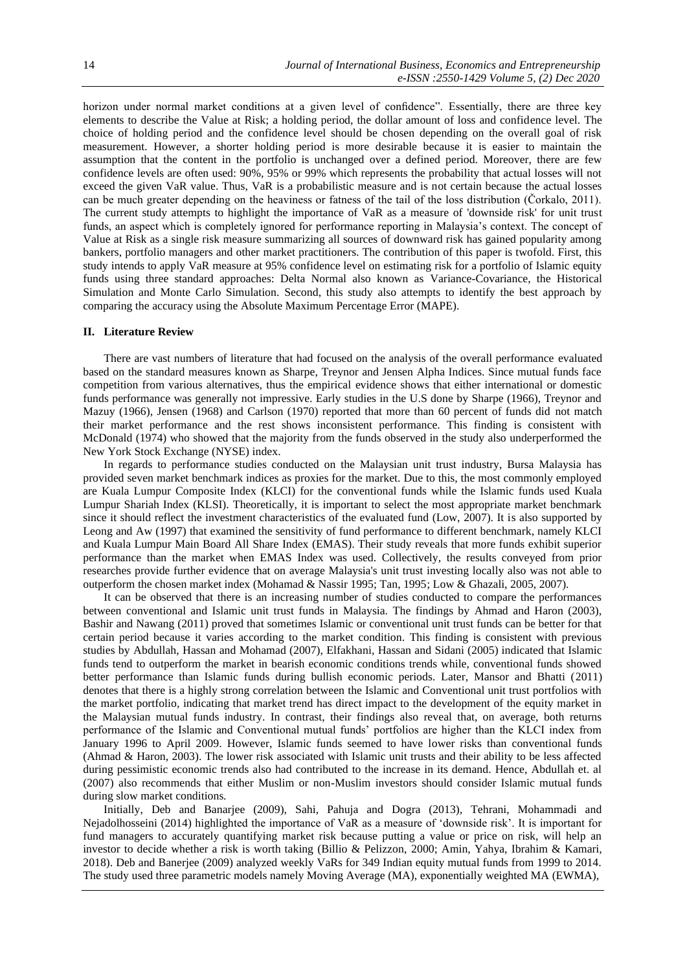horizon under normal market conditions at a given level of confidence". Essentially, there are three key elements to describe the Value at Risk; a holding period, the dollar amount of loss and confidence level. The choice of holding period and the confidence level should be chosen depending on the overall goal of risk measurement. However, a shorter holding period is more desirable because it is easier to maintain the assumption that the content in the portfolio is unchanged over a defined period. Moreover, there are few confidence levels are often used: 90%, 95% or 99% which represents the probability that actual losses will not exceed the given VaR value. Thus, VaR is a probabilistic measure and is not certain because the actual losses can be much greater depending on the heaviness or fatness of the tail of the loss distribution (Čorkalo, 2011). The current study attempts to highlight the importance of VaR as a measure of 'downside risk' for unit trust funds, an aspect which is completely ignored for performance reporting in Malaysia's context. The concept of Value at Risk as a single risk measure summarizing all sources of downward risk has gained popularity among bankers, portfolio managers and other market practitioners. The contribution of this paper is twofold. First, this study intends to apply VaR measure at 95% confidence level on estimating risk for a portfolio of Islamic equity funds using three standard approaches: Delta Normal also known as Variance-Covariance, the Historical Simulation and Monte Carlo Simulation. Second, this study also attempts to identify the best approach by comparing the accuracy using the Absolute Maximum Percentage Error (MAPE).

#### **II. Literature Review**

There are vast numbers of literature that had focused on the analysis of the overall performance evaluated based on the standard measures known as Sharpe, Treynor and Jensen Alpha Indices. Since mutual funds face competition from various alternatives, thus the empirical evidence shows that either international or domestic funds performance was generally not impressive. Early studies in the U.S done by Sharpe (1966), Treynor and Mazuy (1966), Jensen (1968) and Carlson (1970) reported that more than 60 percent of funds did not match their market performance and the rest shows inconsistent performance. This finding is consistent with McDonald (1974) who showed that the majority from the funds observed in the study also underperformed the New York Stock Exchange (NYSE) index.

In regards to performance studies conducted on the Malaysian unit trust industry, Bursa Malaysia has provided seven market benchmark indices as proxies for the market. Due to this, the most commonly employed are Kuala Lumpur Composite Index (KLCI) for the conventional funds while the Islamic funds used Kuala Lumpur Shariah Index (KLSI). Theoretically, it is important to select the most appropriate market benchmark since it should reflect the investment characteristics of the evaluated fund (Low, 2007). It is also supported by Leong and Aw (1997) that examined the sensitivity of fund performance to different benchmark, namely KLCI and Kuala Lumpur Main Board All Share Index (EMAS). Their study reveals that more funds exhibit superior performance than the market when EMAS Index was used. Collectively, the results conveyed from prior researches provide further evidence that on average Malaysia's unit trust investing locally also was not able to outperform the chosen market index (Mohamad & Nassir 1995; Tan, 1995; Low & Ghazali, 2005, 2007).

It can be observed that there is an increasing number of studies conducted to compare the performances between conventional and Islamic unit trust funds in Malaysia. The findings by Ahmad and Haron (2003), Bashir and Nawang (2011) proved that sometimes Islamic or conventional unit trust funds can be better for that certain period because it varies according to the market condition. This finding is consistent with previous studies by Abdullah, Hassan and Mohamad (2007), Elfakhani, Hassan and Sidani (2005) indicated that Islamic funds tend to outperform the market in bearish economic conditions trends while, conventional funds showed better performance than Islamic funds during bullish economic periods. Later, Mansor and Bhatti (2011) denotes that there is a highly strong correlation between the Islamic and Conventional unit trust portfolios with the market portfolio, indicating that market trend has direct impact to the development of the equity market in the Malaysian mutual funds industry. In contrast, their findings also reveal that, on average, both returns performance of the Islamic and Conventional mutual funds' portfolios are higher than the KLCI index from January 1996 to April 2009. However, Islamic funds seemed to have lower risks than conventional funds (Ahmad & Haron, 2003). The lower risk associated with Islamic unit trusts and their ability to be less affected during pessimistic economic trends also had contributed to the increase in its demand. Hence, Abdullah et. al (2007) also recommends that either Muslim or non-Muslim investors should consider Islamic mutual funds during slow market conditions.

Initially, Deb and Banarjee (2009), Sahi, Pahuja and Dogra (2013), Tehrani, Mohammadi and Nejadolhosseini (2014) highlighted the importance of VaR as a measure of 'downside risk'. It is important for fund managers to accurately quantifying market risk because putting a value or price on risk, will help an investor to decide whether a risk is worth taking (Billio & Pelizzon, 2000; Amin, Yahya, Ibrahim & Kamari, 2018). Deb and Banerjee (2009) analyzed weekly VaRs for 349 Indian equity mutual funds from 1999 to 2014. The study used three parametric models namely Moving Average (MA), exponentially weighted MA (EWMA),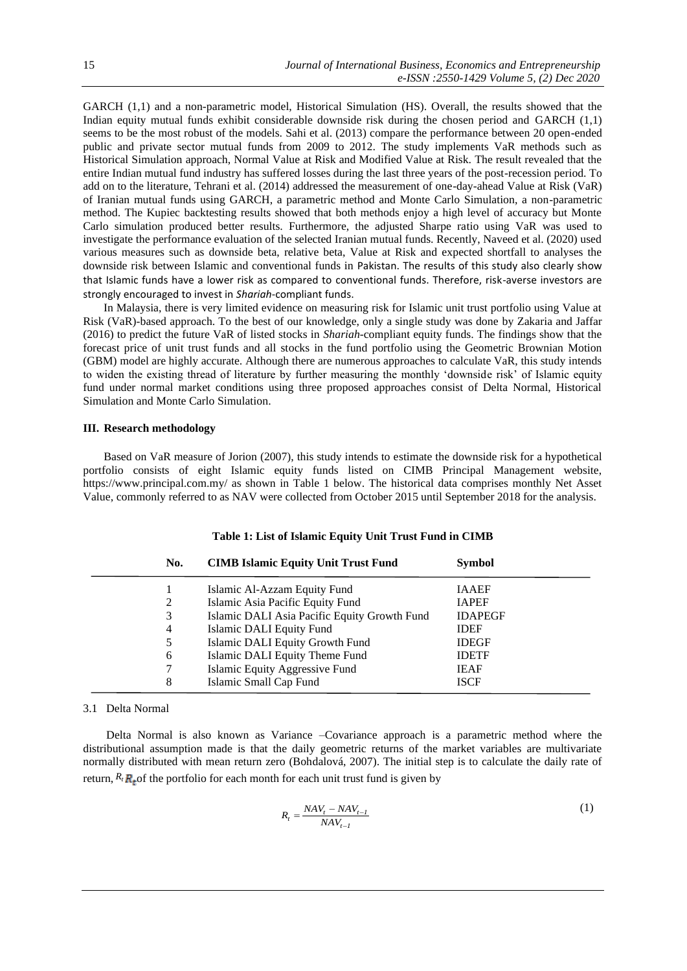GARCH (1,1) and a non-parametric model, Historical Simulation (HS). Overall, the results showed that the Indian equity mutual funds exhibit considerable downside risk during the chosen period and GARCH (1,1) seems to be the most robust of the models. Sahi et al. (2013) compare the performance between 20 open-ended public and private sector mutual funds from 2009 to 2012. The study implements VaR methods such as Historical Simulation approach, Normal Value at Risk and Modified Value at Risk. The result revealed that the entire Indian mutual fund industry has suffered losses during the last three years of the post-recession period. To add on to the literature, Tehrani et al. (2014) addressed the measurement of one-day-ahead Value at Risk (VaR) of Iranian mutual funds using GARCH, a parametric method and Monte Carlo Simulation, a non-parametric method. The Kupiec backtesting results showed that both methods enjoy a high level of accuracy but Monte Carlo simulation produced better results. Furthermore, the adjusted Sharpe ratio using VaR was used to investigate the performance evaluation of the selected Iranian mutual funds. Recently, Naveed et al. (2020) used various measures such as downside beta, relative beta, Value at Risk and expected shortfall to analyses the downside risk between Islamic and conventional funds in Pakistan. The results of this study also clearly show that Islamic funds have a lower risk as compared to conventional funds. Therefore, risk-averse investors are strongly encouraged to invest in *Shariah*-compliant funds.

In Malaysia, there is very limited evidence on measuring risk for Islamic unit trust portfolio using Value at Risk (VaR)-based approach. To the best of our knowledge, only a single study was done by Zakaria and Jaffar (2016) to predict the future VaR of listed stocks in *Shariah*-compliant equity funds. The findings show that the forecast price of unit trust funds and all stocks in the fund portfolio using the Geometric Brownian Motion (GBM) model are highly accurate. Although there are numerous approaches to calculate VaR, this study intends to widen the existing thread of literature by further measuring the monthly 'downside risk' of Islamic equity fund under normal market conditions using three proposed approaches consist of Delta Normal, Historical Simulation and Monte Carlo Simulation.

# **III. Research methodology**

Based on VaR measure of Jorion (2007), this study intends to estimate the downside risk for a hypothetical portfolio consists of eight Islamic equity funds listed on CIMB Principal Management website, https://www.principal.com.my/ as shown in Table 1 below. The historical data comprises monthly Net Asset Value, commonly referred to as NAV were collected from October 2015 until September 2018 for the analysis.

| No. | <b>CIMB Islamic Equity Unit Trust Fund</b>   | <b>Symbol</b>  |
|-----|----------------------------------------------|----------------|
|     | Islamic Al-Azzam Equity Fund                 | <b>IAAEF</b>   |
| 2   | Islamic Asia Pacific Equity Fund             | <b>IAPEF</b>   |
| 3   | Islamic DALI Asia Pacific Equity Growth Fund | <b>IDAPEGF</b> |
| 4   | <b>Islamic DALI Equity Fund</b>              | <b>IDEF</b>    |
| 5   | Islamic DALI Equity Growth Fund              | <b>IDEGF</b>   |
| 6   | Islamic DALI Equity Theme Fund               | <b>IDETF</b>   |
|     | Islamic Equity Aggressive Fund               | <b>IEAF</b>    |
| 8   | Islamic Small Cap Fund                       | <b>ISCF</b>    |

#### **Table 1: List of Islamic Equity Unit Trust Fund in CIMB**

#### 3.1 Delta Normal

 Delta Normal is also known as Variance –Covariance approach is a parametric method where the distributional assumption made is that the daily geometric returns of the market variables are multivariate normally distributed with mean return zero (Bohdalová, 2007). The initial step is to calculate the daily rate of return,  $R_t$ <sub>r</sub> of the portfolio for each month for each unit trust fund is given by

$$
R_t = \frac{NAV_t - NAV_{t-1}}{NAV_{t-1}}
$$
\n<sup>(1)</sup>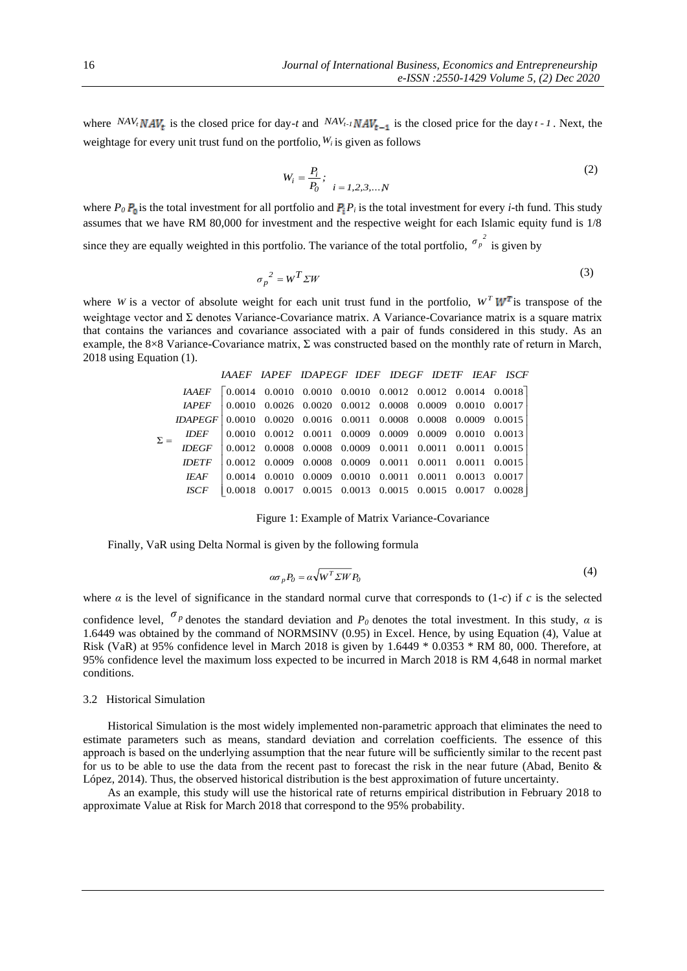where  ${}^{NA}V_t M A V_t$  is the closed price for day-*t* and  ${}^{NA}V_{t-1} N A V_{t-1}$  is the closed price for the day  $t-1$ . Next, the weightage for every unit trust fund on the portfolio,  $W_i$  is given as follows

$$
W_i = \frac{P_i}{P_0}; \quad i = 1, 2, 3, \dots, N
$$
 (2)

where  $P_0$   $P_0$  is the total investment for all portfolio and  $P_i$   $P_i$  is the total investment for every *i*-th fund. This study assumes that we have RM 80,000 for investment and the respective weight for each Islamic equity fund is 1/8

since they are equally weighted in this portfolio. The variance of the total portfolio,  $\sigma_p^2$  is given by

$$
\sigma_p^2 = W^T \Sigma W \tag{3}
$$

where *W* is a vector of absolute weight for each unit trust fund in the portfolio,  $W^T W^T$  is transpose of the weightage vector and Σ denotes Variance-Covariance matrix. A Variance-Covariance matrix is a square matrix that contains the variances and covariance associated with a pair of funds considered in this study. As an example, the 8×8 Variance-Covariance matrix,  $\Sigma$  was constructed based on the monthly rate of return in March, 2018 using Equation (1).

|            |                                                                        | IAAEF IAPEF IDAPEGF IDEF IDEGF IDETF IEAF ISCF                                                                                  |  |  |  |
|------------|------------------------------------------------------------------------|---------------------------------------------------------------------------------------------------------------------------------|--|--|--|
|            |                                                                        | IAAEF 0.0014 0.0010 0.0010 0.0010 0.0012 0.0012 0.0014 0.0018                                                                   |  |  |  |
|            |                                                                        | $IAPEF$   0.0010 0.0026 0.0020 0.0012 0.0008 0.0009 0.0010 0.0017                                                               |  |  |  |
|            | $IDAPEGF   0.0010 0.0020 0.0016 0.0011 0.0008 0.0008 0.0009 0.0015$    |                                                                                                                                 |  |  |  |
| $\Sigma =$ | IDEF    0.0010  0.0012  0.0011  0.0009  0.0009  0.0009  0.0010  0.0013 |                                                                                                                                 |  |  |  |
|            | $IDEGF$ 0.0012 0.0008 0.0008 0.0009 0.0011 0.0011 0.0011 0.0015        |                                                                                                                                 |  |  |  |
|            |                                                                        | $IDETF \,   \, 0.0012 \,   \, 0.0009 \,   \, 0.0008 \,   \, 0.0009 \,   \, 0.0011 \,   \, 0.0011 \,   \, 0.0011 \,   \, 0.0015$ |  |  |  |
|            |                                                                        | IEAF   0.0014 0.0010 0.0009 0.0010 0.0011 0.0011 0.0013 0.0017                                                                  |  |  |  |
|            |                                                                        | ISCF 0.0018 0.0017 0.0015 0.0013 0.0015 0.0015 0.0017 0.0028                                                                    |  |  |  |

Figure 1: Example of Matrix Variance-Covariance

Finally, VaR using Delta Normal is given by the following formula

$$
\alpha \sigma_p P_0 = \alpha \sqrt{W^T \Sigma W} P_0 \tag{4}
$$

where  $\alpha$  is the level of significance in the standard normal curve that corresponds to  $(1-c)$  if  $c$  is the selected

confidence level,  $\sigma_p$  denotes the standard deviation and  $P_0$  denotes the total investment. In this study,  $\alpha$  is 1.6449 was obtained by the command of NORMSINV (0.95) in Excel. Hence, by using Equation (4), Value at Risk (VaR) at 95% confidence level in March 2018 is given by 1.6449 \* 0.0353 \* RM 80, 000. Therefore, at 95% confidence level the maximum loss expected to be incurred in March 2018 is RM 4,648 in normal market conditions.

## 3.2 Historical Simulation

Historical Simulation is the most widely implemented non-parametric approach that eliminates the need to estimate parameters such as means, standard deviation and correlation coefficients. The essence of this approach is based on the underlying assumption that the near future will be sufficiently similar to the recent past for us to be able to use the data from the recent past to forecast the risk in the near future (Abad, Benito & López, 2014). Thus, the observed historical distribution is the best approximation of future uncertainty.

As an example, this study will use the historical rate of returns empirical distribution in February 2018 to approximate Value at Risk for March 2018 that correspond to the 95% probability.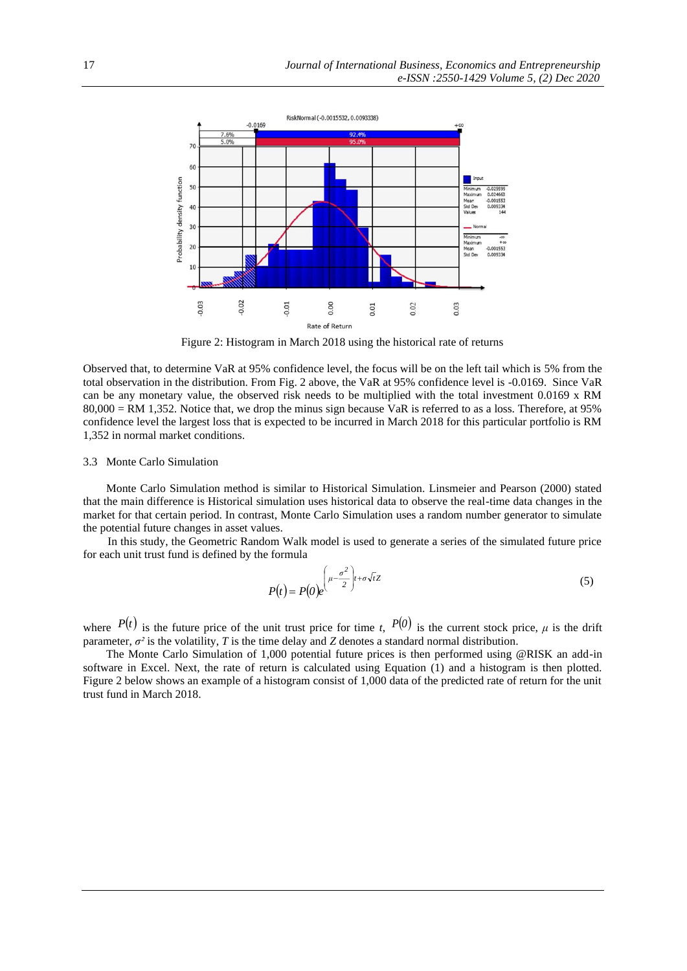

Figure 2: Histogram in March 2018 using the historical rate of returns

Observed that, to determine VaR at 95% confidence level, the focus will be on the left tail which is 5% from the total observation in the distribution. From Fig. 2 above, the VaR at 95% confidence level is -0.0169. Since VaR can be any monetary value, the observed risk needs to be multiplied with the total investment 0.0169 x RM 80,000 = RM 1,352. Notice that, we drop the minus sign because VaR is referred to as a loss. Therefore, at 95% confidence level the largest loss that is expected to be incurred in March 2018 for this particular portfolio is RM 1,352 in normal market conditions.

## 3.3 Monte Carlo Simulation

 Monte Carlo Simulation method is similar to Historical Simulation. Linsmeier and Pearson (2000) stated that the main difference is Historical simulation uses historical data to observe the real-time data changes in the market for that certain period. In contrast, Monte Carlo Simulation uses a random number generator to simulate the potential future changes in asset values.

In this study, the Geometric Random Walk model is used to generate a series of the simulated future price for each unit trust fund is defined by the formula

$$
P(t) = P(0)e^{\left(\mu - \frac{\sigma^2}{2}\right)t + \sigma\sqrt{t}Z}
$$
\n<sup>(5)</sup>

where  $P(t)$  is the future price of the unit trust price for time *t*,  $P(0)$  is the current stock price,  $\mu$  is the drift parameter,  $\sigma^2$  is the volatility, *T* is the time delay and *Z* denotes a standard normal distribution.

 The Monte Carlo Simulation of 1,000 potential future prices is then performed using @RISK an add-in software in Excel. Next, the rate of return is calculated using Equation (1) and a histogram is then plotted. Figure 2 below shows an example of a histogram consist of 1,000 data of the predicted rate of return for the unit trust fund in March 2018.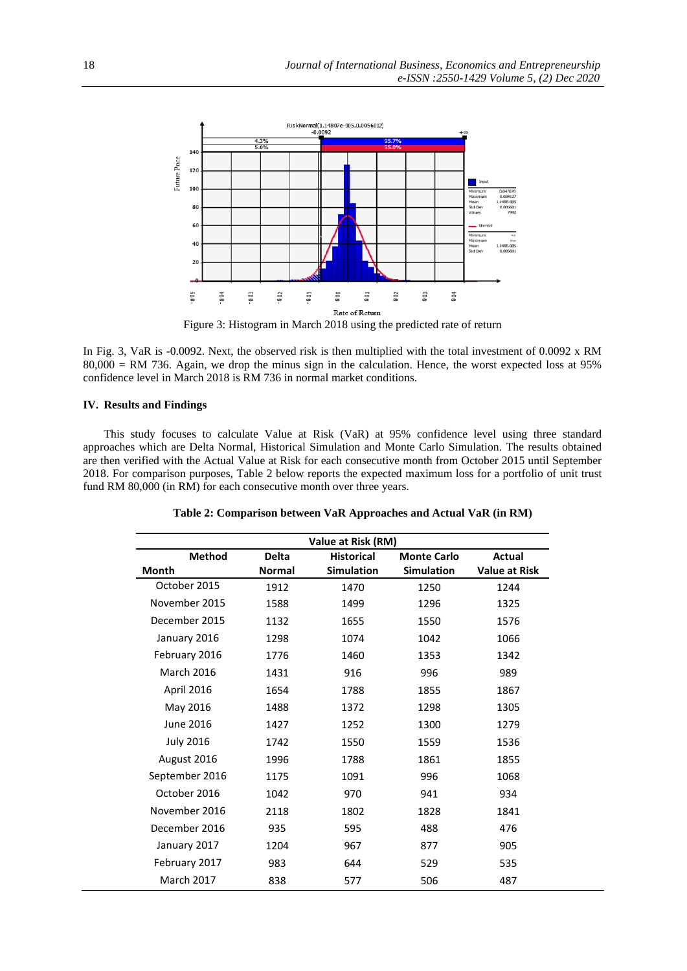

Figure 3: Histogram in March 2018 using the predicted rate of return

In Fig. 3, VaR is -0.0092. Next, the observed risk is then multiplied with the total investment of 0.0092 x RM  $80,000 = \text{RM } 736$ . Again, we drop the minus sign in the calculation. Hence, the worst expected loss at 95% confidence level in March 2018 is RM 736 in normal market conditions.

# **IV. Results and Findings**

This study focuses to calculate Value at Risk (VaR) at 95% confidence level using three standard approaches which are Delta Normal, Historical Simulation and Monte Carlo Simulation. The results obtained are then verified with the Actual Value at Risk for each consecutive month from October 2015 until September 2018. For comparison purposes, Table 2 below reports the expected maximum loss for a portfolio of unit trust fund RM 80,000 (in RM) for each consecutive month over three years.

**Table 2: Comparison between VaR Approaches and Actual VaR (in RM)**

| Value at Risk (RM)                                                                 |               |                   |                   |                      |  |  |
|------------------------------------------------------------------------------------|---------------|-------------------|-------------------|----------------------|--|--|
| <b>Method</b><br><b>Delta</b><br><b>Historical</b><br><b>Monte Carlo</b><br>Actual |               |                   |                   |                      |  |  |
| Month                                                                              | <b>Normal</b> | <b>Simulation</b> | <b>Simulation</b> | <b>Value at Risk</b> |  |  |
| October 2015                                                                       | 1912          | 1470              | 1250              | 1244                 |  |  |
| November 2015                                                                      | 1588          | 1499              | 1296              | 1325                 |  |  |
| December 2015                                                                      | 1132          | 1655              | 1550              | 1576                 |  |  |
| January 2016                                                                       | 1298          | 1074              | 1042              | 1066                 |  |  |
| February 2016                                                                      | 1776          | 1460              | 1353              | 1342                 |  |  |
| <b>March 2016</b>                                                                  | 1431          | 916               | 996               | 989                  |  |  |
| April 2016                                                                         | 1654          | 1788              | 1855              | 1867                 |  |  |
| May 2016                                                                           | 1488          | 1372              | 1298              | 1305                 |  |  |
| June 2016                                                                          | 1427          | 1252              | 1300              | 1279                 |  |  |
| <b>July 2016</b>                                                                   | 1742          | 1550              | 1559              | 1536                 |  |  |
| August 2016                                                                        | 1996          | 1788              | 1861              | 1855                 |  |  |
| September 2016                                                                     | 1175          | 1091              | 996               | 1068                 |  |  |
| October 2016                                                                       | 1042          | 970               | 941               | 934                  |  |  |
| November 2016                                                                      | 2118          | 1802              | 1828              | 1841                 |  |  |
| December 2016                                                                      | 935           | 595               | 488               | 476                  |  |  |
| January 2017                                                                       | 1204          | 967               | 877               | 905                  |  |  |
| February 2017                                                                      | 983           | 644               | 529               | 535                  |  |  |
| <b>March 2017</b>                                                                  | 838           | 577               | 506               | 487                  |  |  |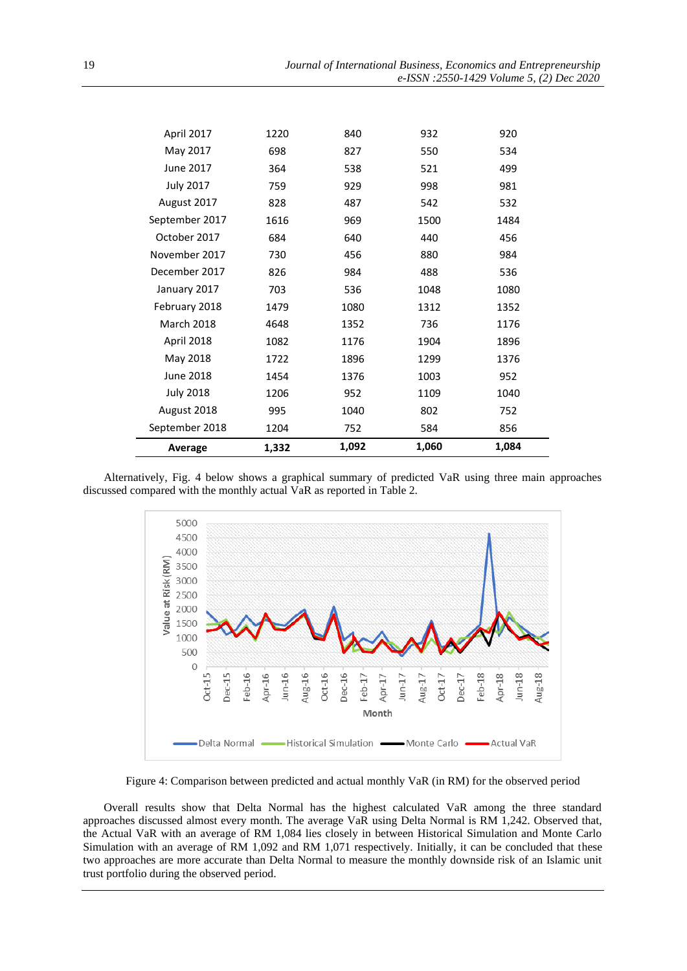| September 2018<br>Average | 1204<br>1,332 | 752<br>1,092 | 584<br>1,060 | 856<br>1,084 |
|---------------------------|---------------|--------------|--------------|--------------|
| August 2018               | 995           | 1040         | 802          | 752          |
| <b>July 2018</b>          | 1206          | 952          | 1109         | 1040         |
| <b>June 2018</b>          | 1454          | 1376         | 1003         | 952          |
| May 2018                  | 1722          | 1896         | 1299         | 1376         |
| <b>April 2018</b>         | 1082          | 1176         | 1904         | 1896         |
| <b>March 2018</b>         | 4648          | 1352         | 736          | 1176         |
| February 2018             | 1479          | 1080         | 1312         | 1352         |
| January 2017              | 703           | 536          | 1048         | 1080         |
| December 2017             | 826           | 984          | 488          | 536          |
| November 2017             | 730           | 456          | 880          | 984          |
| October 2017              | 684           | 640          | 440          | 456          |
| September 2017            | 1616          | 969          | 1500         | 1484         |
| August 2017               | 828           | 487          | 542          | 532          |
| <b>July 2017</b>          | 759           | 929          | 998          | 981          |
| <b>June 2017</b>          | 364           | 538          | 521          | 499          |
| May 2017                  | 698           | 827          | 550          | 534          |
| April 2017                | 1220          | 840          | 932          | 920          |

Alternatively, Fig. 4 below shows a graphical summary of predicted VaR using three main approaches discussed compared with the monthly actual VaR as reported in Table 2.



Figure 4: Comparison between predicted and actual monthly VaR (in RM) for the observed period

Overall results show that Delta Normal has the highest calculated VaR among the three standard approaches discussed almost every month. The average VaR using Delta Normal is RM 1,242. Observed that, the Actual VaR with an average of RM 1,084 lies closely in between Historical Simulation and Monte Carlo Simulation with an average of RM 1,092 and RM 1,071 respectively. Initially, it can be concluded that these two approaches are more accurate than Delta Normal to measure the monthly downside risk of an Islamic unit trust portfolio during the observed period.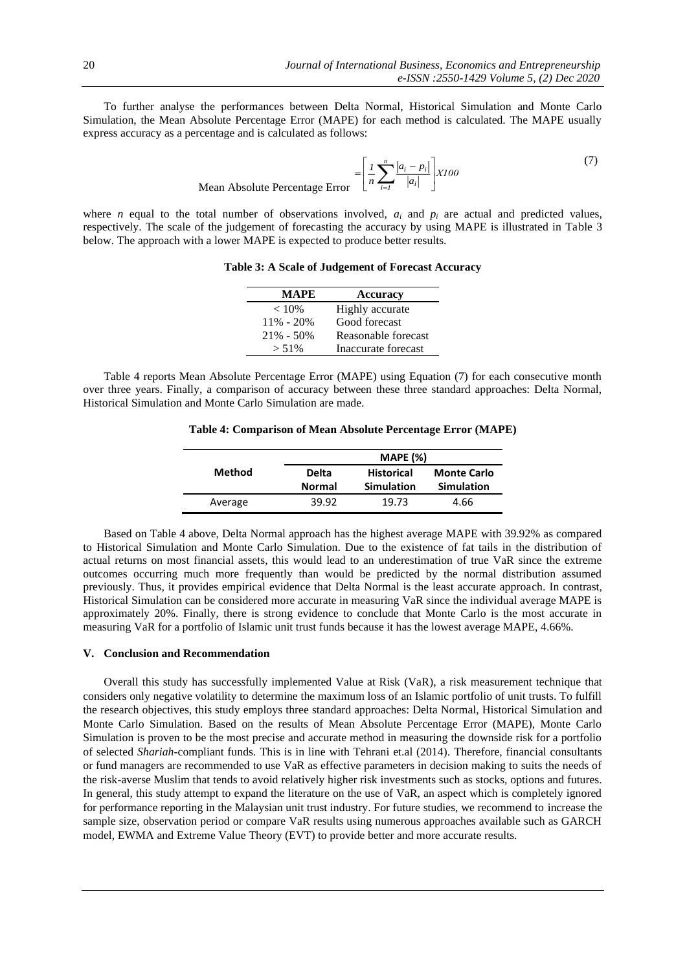To further analyse the performances between Delta Normal, Historical Simulation and Monte Carlo Simulation, the Mean Absolute Percentage Error (MAPE) for each method is calculated. The MAPE usually express accuracy as a percentage and is calculated as follows:

Mean Absolute Percentage Error 
$$
= \left[ \frac{1}{n} \sum_{i=1}^{n} \frac{|a_i - p_i|}{|a_i|} \right] X100
$$
 (7)

where *n* equal to the total number of observations involved,  $a_i$  and  $p_i$  are actual and predicted values, respectively. The scale of the judgement of forecasting the accuracy by using MAPE is illustrated in Table 3 below. The approach with a lower MAPE is expected to produce better results.

**Table 3: A Scale of Judgement of Forecast Accuracy**

| <b>MAPE</b>   | <b>Accuracy</b>     |
|---------------|---------------------|
| $< 10\%$      | Highly accurate     |
| $11\% - 20\%$ | Good forecast       |
| $21\% - 50\%$ | Reasonable forecast |
| $> 51\%$      | Inaccurate forecast |

Table 4 reports Mean Absolute Percentage Error (MAPE) using Equation (7) for each consecutive month over three years. Finally, a comparison of accuracy between these three standard approaches: Delta Normal, Historical Simulation and Monte Carlo Simulation are made.

**Table 4: Comparison of Mean Absolute Percentage Error (MAPE)**

|         |               | <b>MAPE (%)</b>   |                    |  |
|---------|---------------|-------------------|--------------------|--|
| Method  | Delta         | <b>Historical</b> | <b>Monte Carlo</b> |  |
|         | <b>Normal</b> | <b>Simulation</b> | <b>Simulation</b>  |  |
| Average | 39.92         | 19.73             | 4.66               |  |

Based on Table 4 above, Delta Normal approach has the highest average MAPE with 39.92% as compared to Historical Simulation and Monte Carlo Simulation. Due to the existence of fat tails in the distribution of actual returns on most financial assets, this would lead to an underestimation of true VaR since the extreme outcomes occurring much more frequently than would be predicted by the normal distribution assumed previously. Thus, it provides empirical evidence that Delta Normal is the least accurate approach. In contrast, Historical Simulation can be considered more accurate in measuring VaR since the individual average MAPE is approximately 20%. Finally, there is strong evidence to conclude that Monte Carlo is the most accurate in measuring VaR for a portfolio of Islamic unit trust funds because it has the lowest average MAPE, 4.66%.

## **V. Conclusion and Recommendation**

Overall this study has successfully implemented Value at Risk (VaR), a risk measurement technique that considers only negative volatility to determine the maximum loss of an Islamic portfolio of unit trusts. To fulfill the research objectives, this study employs three standard approaches: Delta Normal, Historical Simulation and Monte Carlo Simulation. Based on the results of Mean Absolute Percentage Error (MAPE), Monte Carlo Simulation is proven to be the most precise and accurate method in measuring the downside risk for a portfolio of selected *Shariah*-compliant funds*.* This is in line with Tehrani et.al (2014). Therefore, financial consultants or fund managers are recommended to use VaR as effective parameters in decision making to suits the needs of the risk-averse Muslim that tends to avoid relatively higher risk investments such as stocks, options and futures. In general, this study attempt to expand the literature on the use of VaR, an aspect which is completely ignored for performance reporting in the Malaysian unit trust industry. For future studies, we recommend to increase the sample size, observation period or compare VaR results using numerous approaches available such as GARCH model, EWMA and Extreme Value Theory (EVT) to provide better and more accurate results.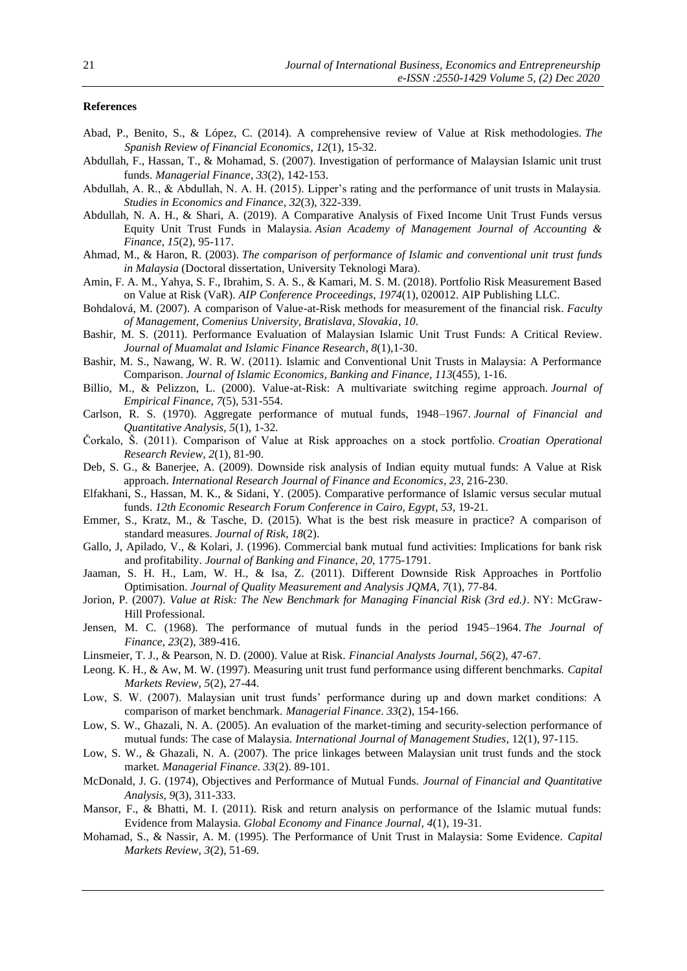# **References**

- Abad, P., Benito, S., & López, C. (2014). A comprehensive review of Value at Risk methodologies. *The Spanish Review of Financial Economics*, *12*(1), 15-32.
- Abdullah, F., Hassan, T., & Mohamad, S. (2007). Investigation of performance of Malaysian Islamic unit trust funds. *Managerial Finance*, *33*(2), 142-153.
- Abdullah, A. R., & Abdullah, N. A. H. (2015). Lipper's rating and the performance of unit trusts in Malaysia. *Studies in Economics and Finance*, *32*(3), 322-339.
- Abdullah, N. A. H., & Shari, A. (2019). A Comparative Analysis of Fixed Income Unit Trust Funds versus Equity Unit Trust Funds in Malaysia. *Asian Academy of Management Journal of Accounting & Finance*, *15*(2), 95-117.
- Ahmad, M., & Haron, R. (2003). *The comparison of performance of Islamic and conventional unit trust funds in Malaysia* (Doctoral dissertation, University Teknologi Mara).
- Amin, F. A. M., Yahya, S. F., Ibrahim, S. A. S., & Kamari, M. S. M. (2018). Portfolio Risk Measurement Based on Value at Risk (VaR). *AIP Conference Proceedings*, *1974*(1), 020012. AIP Publishing LLC.
- Bohdalová, M. (2007). A comparison of Value-at-Risk methods for measurement of the financial risk. *Faculty of Management, Comenius University, Bratislava, Slovakia*, *10*.
- Bashir, M. S. (2011). Performance Evaluation of Malaysian Islamic Unit Trust Funds: A Critical Review. *Journal of Muamalat and Islamic Finance Research*, *8*(1),1-30.
- Bashir, M. S., Nawang, W. R. W. (2011). Islamic and Conventional Unit Trusts in Malaysia: A Performance Comparison. *Journal of Islamic Economics, Banking and Finance*, *113*(455), 1-16.
- Billio, M., & Pelizzon, L. (2000). Value-at-Risk: A multivariate switching regime approach. *Journal of Empirical Finance*, *7*(5), 531-554.
- Carlson, R. S. (1970). Aggregate performance of mutual funds, 1948–1967. *Journal of Financial and Quantitative Analysis*, *5*(1), 1-32.
- Čorkalo, Š. (2011). Comparison of Value at Risk approaches on a stock portfolio. *Croatian Operational Research Review*, *2*(1), 81-90.
- Deb, S. G., & Banerjee, A. (2009). Downside risk analysis of Indian equity mutual funds: A Value at Risk approach. *International Research Journal of Finance and Economics*, *23*, 216-230.
- Elfakhani, S., Hassan, M. K., & Sidani, Y. (2005). Comparative performance of Islamic versus secular mutual funds. *12th Economic Research Forum Conference in Cairo, Egypt*, *53*, 19-21.
- Emmer, S., Kratz, M., & Tasche, D. (2015). What is the best risk measure in practice? A comparison of standard measures. *Journal of Risk*, *18*(2).
- Gallo, J, Apilado, V., & Kolari, J. (1996). Commercial bank mutual fund activities: Implications for bank risk and profitability. *Journal of Banking and Finance*, *20*, 1775-1791.
- Jaaman, S. H. H., Lam, W. H., & Isa, Z. (2011). Different Downside Risk Approaches in Portfolio Optimisation. *Journal of Quality Measurement and Analysis JQMA*, *7*(1), 77-84.
- Jorion, P. (2007). *Value at Risk: The New Benchmark for Managing Financial Risk (3rd ed.)*. NY: McGraw-Hill Professional.
- Jensen, M. C. (1968). The performance of mutual funds in the period 1945–1964. *The Journal of Finance*, *23*(2), 389-416.
- Linsmeier, T. J., & Pearson, N. D. (2000). Value at Risk. *Financial Analysts Journal*, *56*(2), 47-67.
- Leong. K. H., & Aw, M. W. (1997). Measuring unit trust fund performance using different benchmarks. *Capital Markets Review*, *5*(2), 27-44.
- Low, S. W. (2007). Malaysian unit trust funds' performance during up and down market conditions: A comparison of market benchmark. *Managerial Finance*. *33*(2), 154-166.
- Low, S. W., Ghazali, N. A. (2005). An evaluation of the market-timing and security-selection performance of mutual funds: The case of Malaysia. *International Journal of Management Studies*, 12(1), 97-115.
- Low, S. W., & Ghazali, N. A. (2007). The price linkages between Malaysian unit trust funds and the stock market. *Managerial Finance*. *33*(2). 89-101.
- McDonald, J. G. (1974), Objectives and Performance of Mutual Funds. *Journal of Financial and Quantitative Analysis*, *9*(3), 311-333.
- Mansor, F., & Bhatti, M. I. (2011). Risk and return analysis on performance of the Islamic mutual funds: Evidence from Malaysia. *Global Economy and Finance Journal*, *4*(1), 19-31.
- Mohamad, S., & Nassir, A. M. (1995). The Performance of Unit Trust in Malaysia: Some Evidence. *Capital Markets Review*, *3*(2), 51-69.